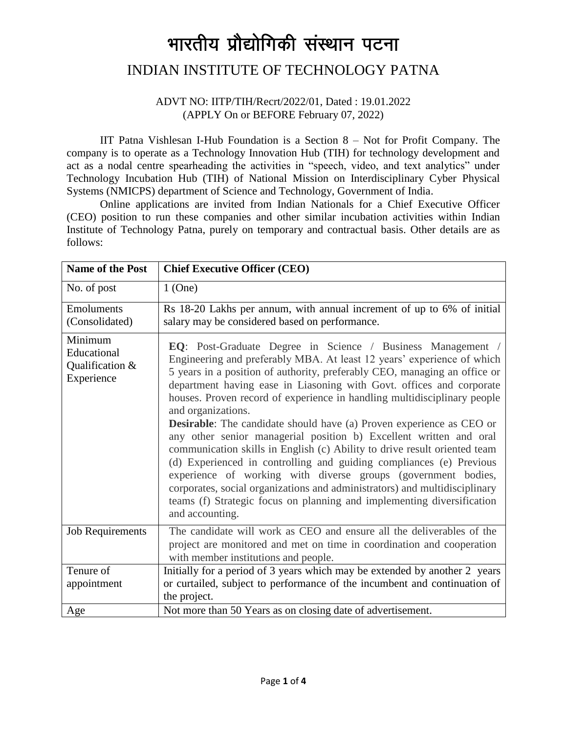# भारतीय प्रौद्योगिकी संस्थान पटना

## INDIAN INSTITUTE OF TECHNOLOGY PATNA

#### ADVT NO: IITP/TIH/Recrt/2022/01, Dated : 19.01.2022 (APPLY On or BEFORE February 07, 2022)

IIT Patna Vishlesan I-Hub Foundation is a Section 8 – Not for Profit Company. The company is to operate as a Technology Innovation Hub (TIH) for technology development and act as a nodal centre spearheading the activities in "speech, video, and text analytics" under Technology Incubation Hub (TIH) of National Mission on Interdisciplinary Cyber Physical Systems (NMICPS) department of Science and Technology, Government of India.

Online applications are invited from Indian Nationals for a Chief Executive Officer (CEO) position to run these companies and other similar incubation activities within Indian Institute of Technology Patna, purely on temporary and contractual basis. Other details are as follows:

| <b>Name of the Post</b>                                 | <b>Chief Executive Officer (CEO)</b>                                                                                                                                                                                                                                                                                                                                                                                                                                                                                                                                                                                                                                                                                                                                                                                                                                                                                                              |  |  |  |
|---------------------------------------------------------|---------------------------------------------------------------------------------------------------------------------------------------------------------------------------------------------------------------------------------------------------------------------------------------------------------------------------------------------------------------------------------------------------------------------------------------------------------------------------------------------------------------------------------------------------------------------------------------------------------------------------------------------------------------------------------------------------------------------------------------------------------------------------------------------------------------------------------------------------------------------------------------------------------------------------------------------------|--|--|--|
| No. of post                                             | $1$ (One)                                                                                                                                                                                                                                                                                                                                                                                                                                                                                                                                                                                                                                                                                                                                                                                                                                                                                                                                         |  |  |  |
| Emoluments<br>(Consolidated)                            | Rs 18-20 Lakhs per annum, with annual increment of up to 6% of initial<br>salary may be considered based on performance.                                                                                                                                                                                                                                                                                                                                                                                                                                                                                                                                                                                                                                                                                                                                                                                                                          |  |  |  |
| Minimum<br>Educational<br>Qualification &<br>Experience | EQ: Post-Graduate Degree in Science / Business Management /<br>Engineering and preferably MBA. At least 12 years' experience of which<br>5 years in a position of authority, preferably CEO, managing an office or<br>department having ease in Liasoning with Govt. offices and corporate<br>houses. Proven record of experience in handling multidisciplinary people<br>and organizations.<br><b>Desirable:</b> The candidate should have (a) Proven experience as CEO or<br>any other senior managerial position b) Excellent written and oral<br>communication skills in English (c) Ability to drive result oriented team<br>(d) Experienced in controlling and guiding compliances (e) Previous<br>experience of working with diverse groups (government bodies,<br>corporates, social organizations and administrators) and multidisciplinary<br>teams (f) Strategic focus on planning and implementing diversification<br>and accounting. |  |  |  |
| <b>Job Requirements</b>                                 | The candidate will work as CEO and ensure all the deliverables of the<br>project are monitored and met on time in coordination and cooperation<br>with member institutions and people.                                                                                                                                                                                                                                                                                                                                                                                                                                                                                                                                                                                                                                                                                                                                                            |  |  |  |
| Tenure of                                               | Initially for a period of 3 years which may be extended by another 2 years                                                                                                                                                                                                                                                                                                                                                                                                                                                                                                                                                                                                                                                                                                                                                                                                                                                                        |  |  |  |
| appointment                                             | or curtailed, subject to performance of the incumbent and continuation of                                                                                                                                                                                                                                                                                                                                                                                                                                                                                                                                                                                                                                                                                                                                                                                                                                                                         |  |  |  |
|                                                         | the project.                                                                                                                                                                                                                                                                                                                                                                                                                                                                                                                                                                                                                                                                                                                                                                                                                                                                                                                                      |  |  |  |
| Age                                                     | Not more than 50 Years as on closing date of advertisement.                                                                                                                                                                                                                                                                                                                                                                                                                                                                                                                                                                                                                                                                                                                                                                                                                                                                                       |  |  |  |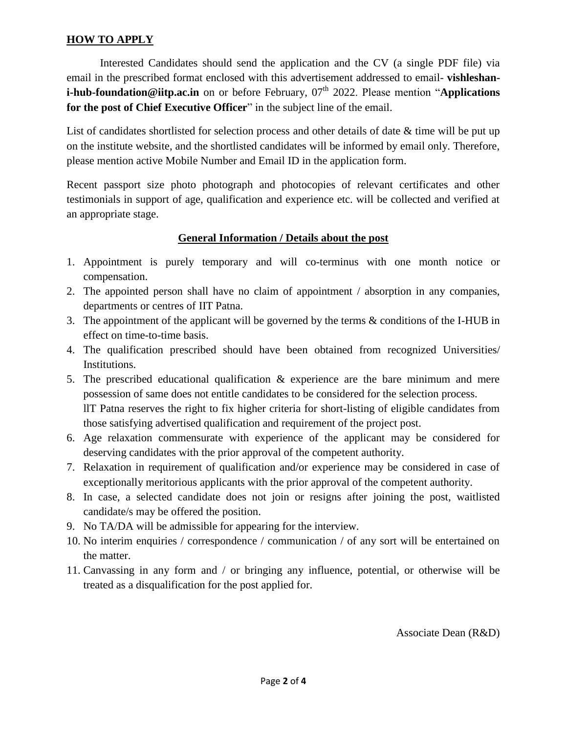### **HOW TO APPLY**

Interested Candidates should send the application and the CV (a single PDF file) via email in the prescribed format enclosed with this advertisement addressed to email- **vishleshani-hub-foundation@iitp.ac.in** on or before February, 07<sup>th</sup> 2022. Please mention "**Applications for the post of Chief Executive Officer**" in the subject line of the email.

List of candidates shortlisted for selection process and other details of date & time will be put up on the institute website, and the shortlisted candidates will be informed by email only. Therefore, please mention active Mobile Number and Email ID in the application form.

Recent passport size photo photograph and photocopies of relevant certificates and other testimonials in support of age, qualification and experience etc. will be collected and verified at an appropriate stage.

#### **General Information / Details about the post**

- 1. Appointment is purely temporary and will co-terminus with one month notice or compensation.
- 2. The appointed person shall have no claim of appointment / absorption in any companies, departments or centres of IIT Patna.
- 3. The appointment of the applicant will be governed by the terms & conditions of the I-HUB in effect on time-to-time basis.
- 4. The qualification prescribed should have been obtained from recognized Universities/ Institutions.
- 5. The prescribed educational qualification & experience are the bare minimum and mere possession of same does not entitle candidates to be considered for the selection process. llT Patna reserves the right to fix higher criteria for short-listing of eligible candidates from those satisfying advertised qualification and requirement of the project post.
- 6. Age relaxation commensurate with experience of the applicant may be considered for deserving candidates with the prior approval of the competent authority.
- 7. Relaxation in requirement of qualification and/or experience may be considered in case of exceptionally meritorious applicants with the prior approval of the competent authority.
- 8. In case, a selected candidate does not join or resigns after joining the post, waitlisted candidate/s may be offered the position.
- 9. No TA/DA will be admissible for appearing for the interview.
- 10. No interim enquiries / correspondence / communication / of any sort will be entertained on the matter.
- 11. Canvassing in any form and / or bringing any influence, potential, or otherwise will be treated as a disqualification for the post applied for.

Associate Dean (R&D)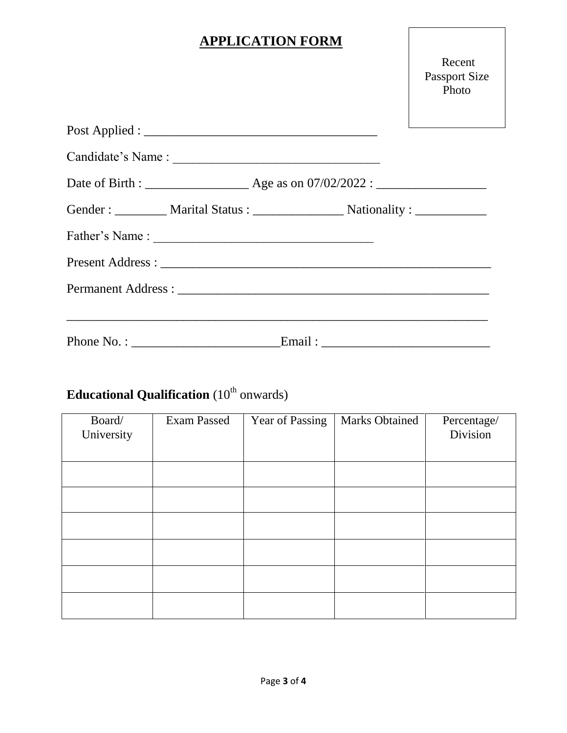# **APPLICATION FORM**

Recent Passport Size Photo

| Gender : ___________ Marital Status : ___________________ Nationality : _____________ |
|---------------------------------------------------------------------------------------|
|                                                                                       |
|                                                                                       |
|                                                                                       |
|                                                                                       |
|                                                                                       |

# **Educational Qualification** (10<sup>th</sup> onwards)

| Board/<br>University | <b>Exam Passed</b> | Year of Passing | <b>Marks Obtained</b> | Percentage/<br>Division |
|----------------------|--------------------|-----------------|-----------------------|-------------------------|
|                      |                    |                 |                       |                         |
|                      |                    |                 |                       |                         |
|                      |                    |                 |                       |                         |
|                      |                    |                 |                       |                         |
|                      |                    |                 |                       |                         |
|                      |                    |                 |                       |                         |